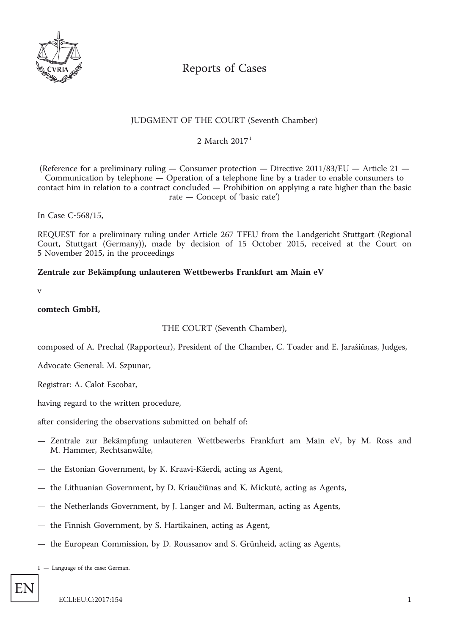

# Reports of Cases

## JUDGMENT OF THE COURT (Seventh Chamber)

2 March  $2017<sup>1</sup>$ 

(Reference for a preliminary ruling — Consumer protection — Directive 2011/83/EU — Article 21 — Communication by telephone — Operation of a telephone line by a trader to enable consumers to contact him in relation to a contract concluded — Prohibition on applying a rate higher than the basic rate — Concept of 'basic rate')

In Case C-568/15,

REQUEST for a preliminary ruling under Article 267 TFEU from the Landgericht Stuttgart (Regional Court, Stuttgart (Germany)), made by decision of 15 October 2015, received at the Court on 5 November 2015, in the proceedings

## **Zentrale zur Bekämpfung unlauteren Wettbewerbs Frankfurt am Main eV**

v

#### **comtech GmbH,**

THE COURT (Seventh Chamber),

composed of A. Prechal (Rapporteur), President of the Chamber, C. Toader and E. Jarašiūnas, Judges,

Advocate General: M. Szpunar,

Registrar: A. Calot Escobar,

having regard to the written procedure,

after considering the observations submitted on behalf of:

- Zentrale zur Bekämpfung unlauteren Wettbewerbs Frankfurt am Main eV, by M. Ross and M. Hammer, Rechtsanwälte,
- the Estonian Government, by K. Kraavi-Käerdi, acting as Agent,
- the Lithuanian Government, by D. Kriaučiūnas and K. Mickutė, acting as Agents,
- the Netherlands Government, by J. Langer and M. Bulterman, acting as Agents,
- the Finnish Government, by S. Hartikainen, acting as Agent,
- the European Commission, by D. Roussanov and S. Grünheid, acting as Agents,

1 — Language of the case: German.

EN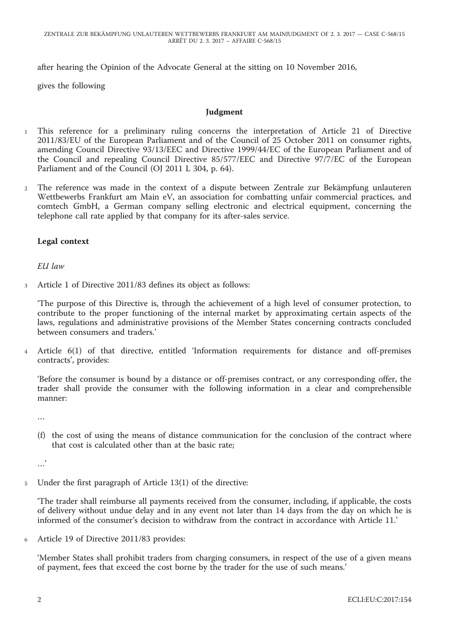after hearing the Opinion of the Advocate General at the sitting on 10 November 2016,

gives the following

#### **Judgment**

- <sup>1</sup> This reference for a preliminary ruling concerns the interpretation of Article 21 of Directive 2011/83/EU of the European Parliament and of the Council of 25 October 2011 on consumer rights, amending Council Directive 93/13/EEC and Directive 1999/44/EC of the European Parliament and of the Council and repealing Council Directive 85/577/EEC and Directive 97/7/EC of the European Parliament and of the Council (OJ 2011 L 304, p. 64).
- <sup>2</sup> The reference was made in the context of a dispute between Zentrale zur Bekämpfung unlauteren Wettbewerbs Frankfurt am Main eV, an association for combatting unfair commercial practices, and comtech GmbH, a German company selling electronic and electrical equipment, concerning the telephone call rate applied by that company for its after-sales service.

#### **Legal context**

*EU law*

<sup>3</sup> Article 1 of Directive 2011/83 defines its object as follows:

'The purpose of this Directive is, through the achievement of a high level of consumer protection, to contribute to the proper functioning of the internal market by approximating certain aspects of the laws, regulations and administrative provisions of the Member States concerning contracts concluded between consumers and traders.'

<sup>4</sup> Article 6(1) of that directive, entitled 'Information requirements for distance and off-premises contracts', provides:

'Before the consumer is bound by a distance or off-premises contract, or any corresponding offer, the trader shall provide the consumer with the following information in a clear and comprehensible manner:

…

(f) the cost of using the means of distance communication for the conclusion of the contract where that cost is calculated other than at the basic rate;

…'

<sup>5</sup> Under the first paragraph of Article 13(1) of the directive:

'The trader shall reimburse all payments received from the consumer, including, if applicable, the costs of delivery without undue delay and in any event not later than 14 days from the day on which he is informed of the consumer's decision to withdraw from the contract in accordance with Article 11.'

<sup>6</sup> Article 19 of Directive 2011/83 provides:

'Member States shall prohibit traders from charging consumers, in respect of the use of a given means of payment, fees that exceed the cost borne by the trader for the use of such means.'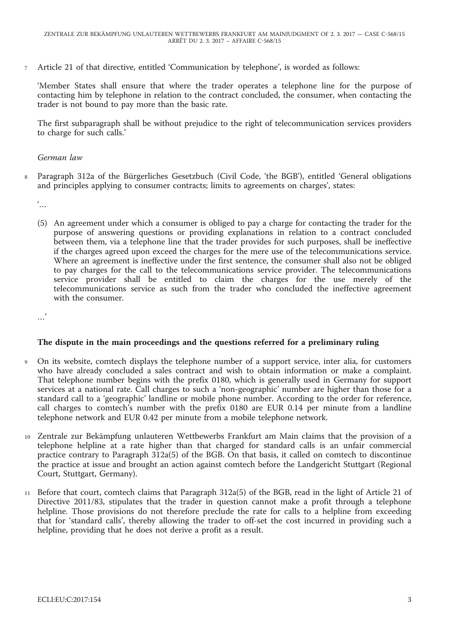<sup>7</sup> Article 21 of that directive, entitled 'Communication by telephone', is worded as follows:

'Member States shall ensure that where the trader operates a telephone line for the purpose of contacting him by telephone in relation to the contract concluded, the consumer, when contacting the trader is not bound to pay more than the basic rate.

The first subparagraph shall be without prejudice to the right of telecommunication services providers to charge for such calls.'

## *German law*

<sup>8</sup> Paragraph 312a of the Bürgerliches Gesetzbuch (Civil Code, 'the BGB'), entitled 'General obligations and principles applying to consumer contracts; limits to agreements on charges', states:

 $\dddot{\ }$ ...

(5) An agreement under which a consumer is obliged to pay a charge for contacting the trader for the purpose of answering questions or providing explanations in relation to a contract concluded between them, via a telephone line that the trader provides for such purposes, shall be ineffective if the charges agreed upon exceed the charges for the mere use of the telecommunications service. Where an agreement is ineffective under the first sentence, the consumer shall also not be obliged to pay charges for the call to the telecommunications service provider. The telecommunications service provider shall be entitled to claim the charges for the use merely of the telecommunications service as such from the trader who concluded the ineffective agreement with the consumer.

.<br>...

## **The dispute in the main proceedings and the questions referred for a preliminary ruling**

- <sup>9</sup> On its website, comtech displays the telephone number of a support service, inter alia, for customers who have already concluded a sales contract and wish to obtain information or make a complaint. That telephone number begins with the prefix 0180, which is generally used in Germany for support services at a national rate. Call charges to such a 'non-geographic' number are higher than those for a standard call to a 'geographic' landline or mobile phone number. According to the order for reference, call charges to comtech's number with the prefix 0180 are EUR 0.14 per minute from a landline telephone network and EUR 0.42 per minute from a mobile telephone network.
- <sup>10</sup> Zentrale zur Bekämpfung unlauteren Wettbewerbs Frankfurt am Main claims that the provision of a telephone helpline at a rate higher than that charged for standard calls is an unfair commercial practice contrary to Paragraph 312a(5) of the BGB. On that basis, it called on comtech to discontinue the practice at issue and brought an action against comtech before the Landgericht Stuttgart (Regional Court, Stuttgart, Germany).
- <sup>11</sup> Before that court, comtech claims that Paragraph 312a(5) of the BGB, read in the light of Article 21 of Directive 2011/83, stipulates that the trader in question cannot make a profit through a telephone helpline. Those provisions do not therefore preclude the rate for calls to a helpline from exceeding that for 'standard calls', thereby allowing the trader to off-set the cost incurred in providing such a helpline, providing that he does not derive a profit as a result.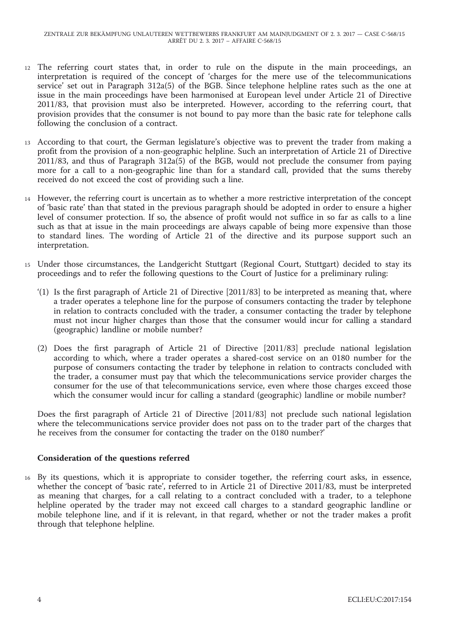- <sup>12</sup> The referring court states that, in order to rule on the dispute in the main proceedings, an interpretation is required of the concept of 'charges for the mere use of the telecommunications service' set out in Paragraph 312a(5) of the BGB. Since telephone helpline rates such as the one at issue in the main proceedings have been harmonised at European level under Article 21 of Directive 2011/83, that provision must also be interpreted. However, according to the referring court, that provision provides that the consumer is not bound to pay more than the basic rate for telephone calls following the conclusion of a contract.
- <sup>13</sup> According to that court, the German legislature's objective was to prevent the trader from making a profit from the provision of a non-geographic helpline. Such an interpretation of Article 21 of Directive  $2011/83$ , and thus of Paragraph  $312a(5)$  of the BGB, would not preclude the consumer from paying more for a call to a non-geographic line than for a standard call, provided that the sums thereby received do not exceed the cost of providing such a line.
- <sup>14</sup> However, the referring court is uncertain as to whether a more restrictive interpretation of the concept of 'basic rate' than that stated in the previous paragraph should be adopted in order to ensure a higher level of consumer protection. If so, the absence of profit would not suffice in so far as calls to a line such as that at issue in the main proceedings are always capable of being more expensive than those to standard lines. The wording of Article 21 of the directive and its purpose support such an interpretation.
- <sup>15</sup> Under those circumstances, the Landgericht Stuttgart (Regional Court, Stuttgart) decided to stay its proceedings and to refer the following questions to the Court of Justice for a preliminary ruling:
	- '(1) Is the first paragraph of Article 21 of Directive [2011/83] to be interpreted as meaning that, where a trader operates a telephone line for the purpose of consumers contacting the trader by telephone in relation to contracts concluded with the trader, a consumer contacting the trader by telephone must not incur higher charges than those that the consumer would incur for calling a standard (geographic) landline or mobile number?
	- (2) Does the first paragraph of Article 21 of Directive [2011/83] preclude national legislation according to which, where a trader operates a shared-cost service on an 0180 number for the purpose of consumers contacting the trader by telephone in relation to contracts concluded with the trader, a consumer must pay that which the telecommunications service provider charges the consumer for the use of that telecommunications service, even where those charges exceed those which the consumer would incur for calling a standard (geographic) landline or mobile number?

Does the first paragraph of Article 21 of Directive [2011/83] not preclude such national legislation where the telecommunications service provider does not pass on to the trader part of the charges that he receives from the consumer for contacting the trader on the 0180 number?'

## **Consideration of the questions referred**

<sup>16</sup> By its questions, which it is appropriate to consider together, the referring court asks, in essence, whether the concept of 'basic rate', referred to in Article 21 of Directive 2011/83, must be interpreted as meaning that charges, for a call relating to a contract concluded with a trader, to a telephone helpline operated by the trader may not exceed call charges to a standard geographic landline or mobile telephone line, and if it is relevant, in that regard, whether or not the trader makes a profit through that telephone helpline.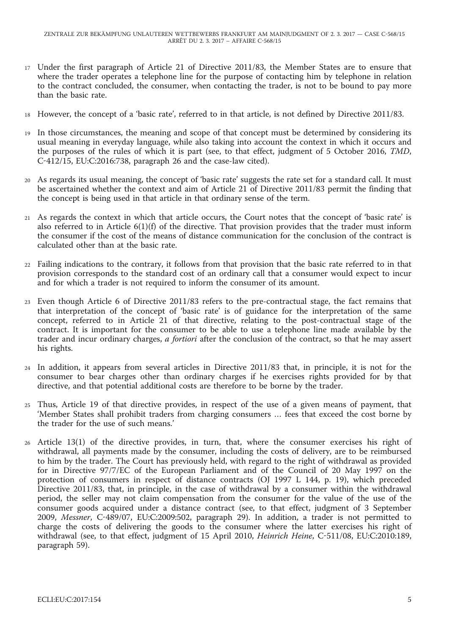- <sup>17</sup> Under the first paragraph of Article 21 of Directive 2011/83, the Member States are to ensure that where the trader operates a telephone line for the purpose of contacting him by telephone in relation to the contract concluded, the consumer, when contacting the trader, is not to be bound to pay more than the basic rate.
- <sup>18</sup> However, the concept of a 'basic rate', referred to in that article, is not defined by Directive 2011/83.
- <sup>19</sup> In those circumstances, the meaning and scope of that concept must be determined by considering its usual meaning in everyday language, while also taking into account the context in which it occurs and the purposes of the rules of which it is part (see, to that effect, judgment of 5 October 2016, *TMD*, C-412/15, EU:C:2016:738, paragraph 26 and the case-law cited).
- <sup>20</sup> As regards its usual meaning, the concept of 'basic rate' suggests the rate set for a standard call. It must be ascertained whether the context and aim of Article 21 of Directive 2011/83 permit the finding that the concept is being used in that article in that ordinary sense of the term.
- <sup>21</sup> As regards the context in which that article occurs, the Court notes that the concept of 'basic rate' is also referred to in Article 6(1)(f) of the directive. That provision provides that the trader must inform the consumer if the cost of the means of distance communication for the conclusion of the contract is calculated other than at the basic rate.
- <sup>22</sup> Failing indications to the contrary, it follows from that provision that the basic rate referred to in that provision corresponds to the standard cost of an ordinary call that a consumer would expect to incur and for which a trader is not required to inform the consumer of its amount.
- <sup>23</sup> Even though Article 6 of Directive 2011/83 refers to the pre-contractual stage, the fact remains that that interpretation of the concept of 'basic rate' is of guidance for the interpretation of the same concept, referred to in Article 21 of that directive, relating to the post-contractual stage of the contract. It is important for the consumer to be able to use a telephone line made available by the trader and incur ordinary charges, *a fortiori* after the conclusion of the contract, so that he may assert his rights.
- <sup>24</sup> In addition, it appears from several articles in Directive 2011/83 that, in principle, it is not for the consumer to bear charges other than ordinary charges if he exercises rights provided for by that directive, and that potential additional costs are therefore to be borne by the trader.
- <sup>25</sup> Thus, Article 19 of that directive provides, in respect of the use of a given means of payment, that 'Member States shall prohibit traders from charging consumers … fees that exceed the cost borne by the trader for the use of such means.'
- <sup>26</sup> Article 13(1) of the directive provides, in turn, that, where the consumer exercises his right of withdrawal, all payments made by the consumer, including the costs of delivery, are to be reimbursed to him by the trader. The Court has previously held, with regard to the right of withdrawal as provided for in Directive 97/7/EC of the European Parliament and of the Council of 20 May 1997 on the protection of consumers in respect of distance contracts (OJ 1997 L 144, p. 19), which preceded Directive 2011/83, that, in principle, in the case of withdrawal by a consumer within the withdrawal period, the seller may not claim compensation from the consumer for the value of the use of the consumer goods acquired under a distance contract (see, to that effect, judgment of 3 September 2009, *Messner*, C-489/07, EU:C:2009:502, paragraph 29). In addition, a trader is not permitted to charge the costs of delivering the goods to the consumer where the latter exercises his right of withdrawal (see, to that effect, judgment of 15 April 2010, *Heinrich Heine*, C-511/08, EU:C:2010:189, paragraph 59).